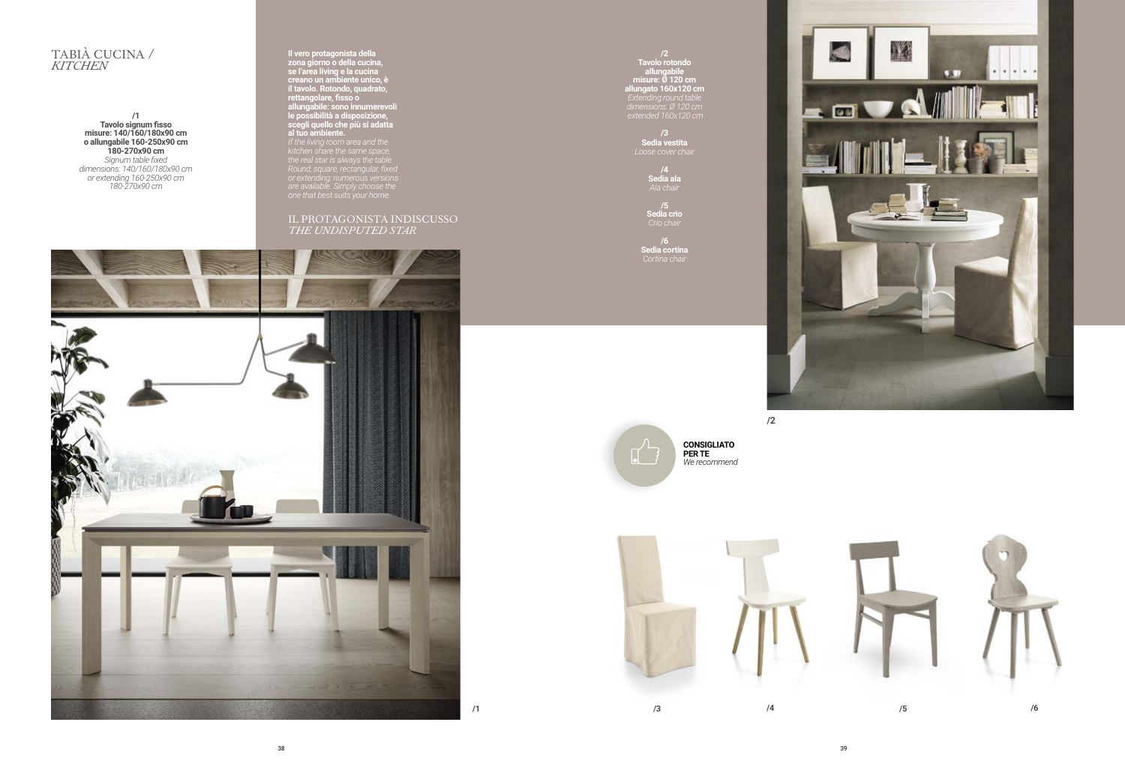## TABIÀ CUCINA / *KITCHEN*

**/1 Tavolo signum fisso misure: 140/160/180x90 cm o allungabile 160-250x90 cm 180-270x90 cm**  *Signum table fixed dimensions: 140/160/180x90 cm or extending 160-250x90 cm 180-270x90 cm*

**Il vero protagonista della zona giorno o della cucina, se l'area living e la cucina creano un ambiente unico, è il tavolo. Rotondo, quadrato, rettangolare, fisso o allungabile: sono innumerevoli le possibilità a disposizione, scegli quello che più si adatta al tuo ambiente.** *kitchen share the same space, the real star is always the table. Round, square, rectangular, fixed* 

*are available. Simply choose the* 

IL PROTAGONISTA INDISCUSSO *THE UNDISPUTED STAR*



**Tavolo rotondo allungabile misure: Ø 120 cm allungato 160x120 cm**  *Extending round table dimensions: Ø 120 cm extended 160x120 cm*

> **/3 Sedia vestita**

**/4 Sedia ala**

> **/5 Sedia crio**

**/6 Sedia cortina**  *Cortina chair*





**/1 /3 /4 /5 /6**



**/2**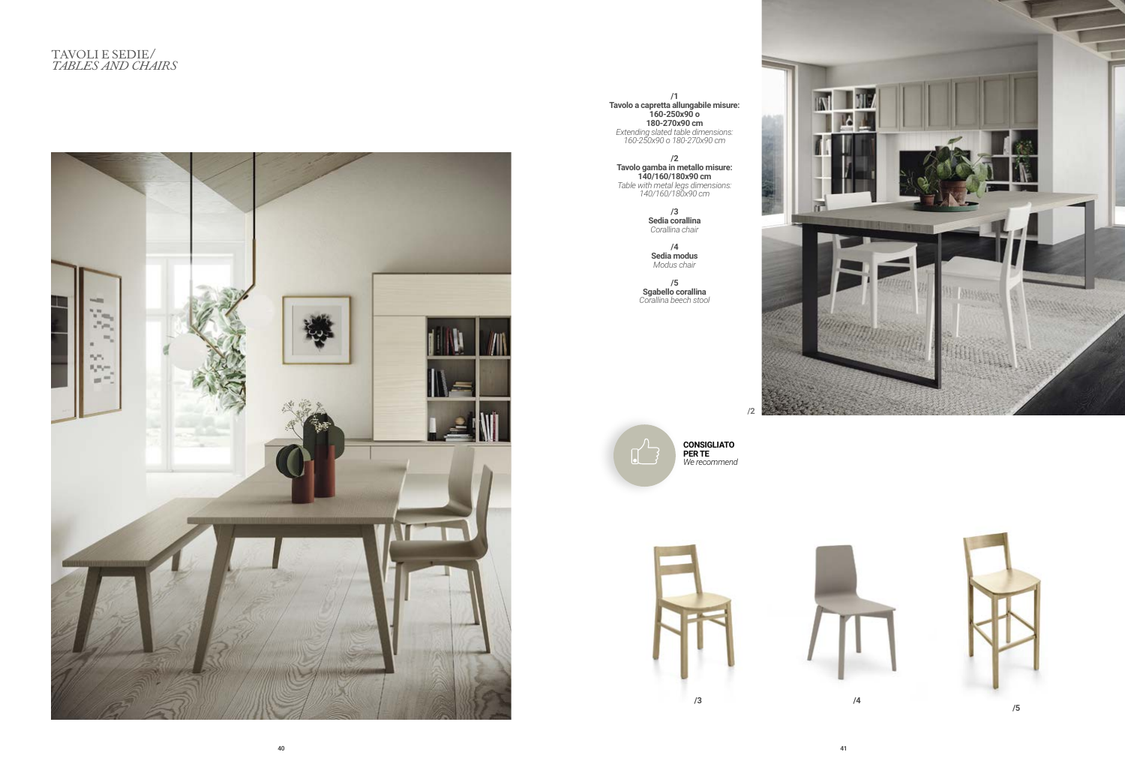

**/1 Tavolo a capretta allungabile misure: 160-250x90 o 180-270x90 cm** *Extending slated table dimensions: 160-250x90 o 180-270x90 cm*

**/2 Tavolo gamba in metallo misure: 140/160/180x90 cm**  *Table with metal legs dimensions: 140/160/180x90 cm*

> **/3 Sedia corallina**  *Corallina chair*

**/4**

**Sedia modus** *Modus chair*

**/5 Sgabello corallina**  *Corallina beech stool*





**CONSIGLIATO** *We recommend*